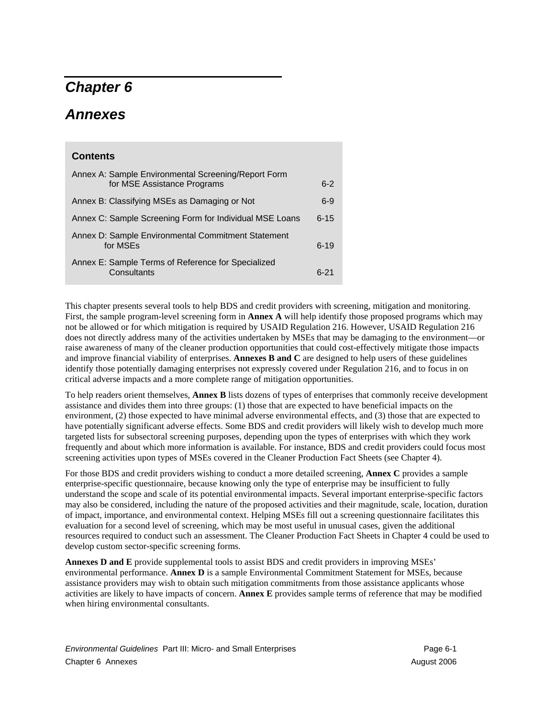# *Chapter 6*

# *Annexes*

## **Contents**

| Annex A: Sample Environmental Screening/Report Form<br>for MSE Assistance Programs | $6-2$    |
|------------------------------------------------------------------------------------|----------|
| Annex B: Classifying MSEs as Damaging or Not                                       | $6-9$    |
| Annex C: Sample Screening Form for Individual MSE Loans                            | $6 - 15$ |
| Annex D: Sample Environmental Commitment Statement<br>for MSEs                     | $6 - 19$ |
| Annex E: Sample Terms of Reference for Specialized<br>Consultants                  | $6-21$   |

This chapter presents several tools to help BDS and credit providers with screening, mitigation and monitoring. First, the sample program-level screening form in **Annex A** will help identify those proposed programs which may not be allowed or for which mitigation is required by USAID Regulation 216. However, USAID Regulation 216 does not directly address many of the activities undertaken by MSEs that may be damaging to the environment—or raise awareness of many of the cleaner production opportunities that could cost-effectively mitigate those impacts and improve financial viability of enterprises. **Annexes B and C** are designed to help users of these guidelines identify those potentially damaging enterprises not expressly covered under Regulation 216, and to focus in on critical adverse impacts and a more complete range of mitigation opportunities.

To help readers orient themselves, **Annex B** lists dozens of types of enterprises that commonly receive development assistance and divides them into three groups: (1) those that are expected to have beneficial impacts on the environment, (2) those expected to have minimal adverse environmental effects, and (3) those that are expected to have potentially significant adverse effects. Some BDS and credit providers will likely wish to develop much more targeted lists for subsectoral screening purposes, depending upon the types of enterprises with which they work frequently and about which more information is available. For instance, BDS and credit providers could focus most screening activities upon types of MSEs covered in the Cleaner Production Fact Sheets (see Chapter 4).

For those BDS and credit providers wishing to conduct a more detailed screening, **Annex C** provides a sample enterprise-specific questionnaire, because knowing only the type of enterprise may be insufficient to fully understand the scope and scale of its potential environmental impacts. Several important enterprise-specific factors may also be considered, including the nature of the proposed activities and their magnitude, scale, location, duration of impact, importance, and environmental context. Helping MSEs fill out a screening questionnaire facilitates this evaluation for a second level of screening, which may be most useful in unusual cases, given the additional resources required to conduct such an assessment. The Cleaner Production Fact Sheets in Chapter 4 could be used to develop custom sector-specific screening forms.

**Annexes D and E** provide supplemental tools to assist BDS and credit providers in improving MSEs' environmental performance. **Annex D** is a sample Environmental Commitment Statement for MSEs, because assistance providers may wish to obtain such mitigation commitments from those assistance applicants whose activities are likely to have impacts of concern. **Annex E** provides sample terms of reference that may be modified when hiring environmental consultants.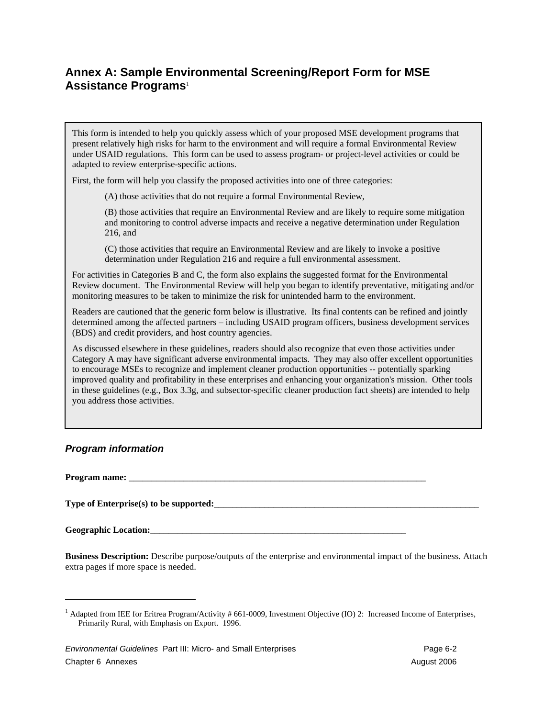## **Annex A: Sample Environmental Screening/Report Form for MSE Assistance Programs**<sup>1</sup>

This form is intended to help you quickly assess which of your proposed MSE development programs that present relatively high risks for harm to the environment and will require a formal Environmental Review under USAID regulations. This form can be used to assess program- or project-level activities or could be adapted to review enterprise-specific actions.

First, the form will help you classify the proposed activities into one of three categories:

(A) those activities that do not require a formal Environmental Review,

(B) those activities that require an Environmental Review and are likely to require some mitigation and monitoring to control adverse impacts and receive a negative determination under Regulation 216, and

(C) those activities that require an Environmental Review and are likely to invoke a positive determination under Regulation 216 and require a full environmental assessment.

For activities in Categories B and C, the form also explains the suggested format for the Environmental Review document. The Environmental Review will help you began to identify preventative, mitigating and/or monitoring measures to be taken to minimize the risk for unintended harm to the environment.

Readers are cautioned that the generic form below is illustrative. Its final contents can be refined and jointly determined among the affected partners – including USAID program officers, business development services (BDS) and credit providers, and host country agencies.

As discussed elsewhere in these guidelines, readers should also recognize that even those activities under Category A may have significant adverse environmental impacts. They may also offer excellent opportunities to encourage MSEs to recognize and implement cleaner production opportunities -- potentially sparking improved quality and profitability in these enterprises and enhancing your organization's mission. Other tools in these guidelines (e.g., Box 3.3g, and subsector-specific cleaner production fact sheets) are intended to help you address those activities.

## *Program information*

Program name:

 $\overline{a}$ 

**Type of Enterprise(s) to be supported:**<br> $\frac{1}{2}$ 

Geographic Location:

**Business Description:** Describe purpose/outputs of the enterprise and environmental impact of the business. Attach extra pages if more space is needed.

<sup>&</sup>lt;sup>1</sup> Adapted from IEE for Eritrea Program/Activity # 661-0009, Investment Objective (IO) 2: Increased Income of Enterprises, Primarily Rural, with Emphasis on Export. 1996.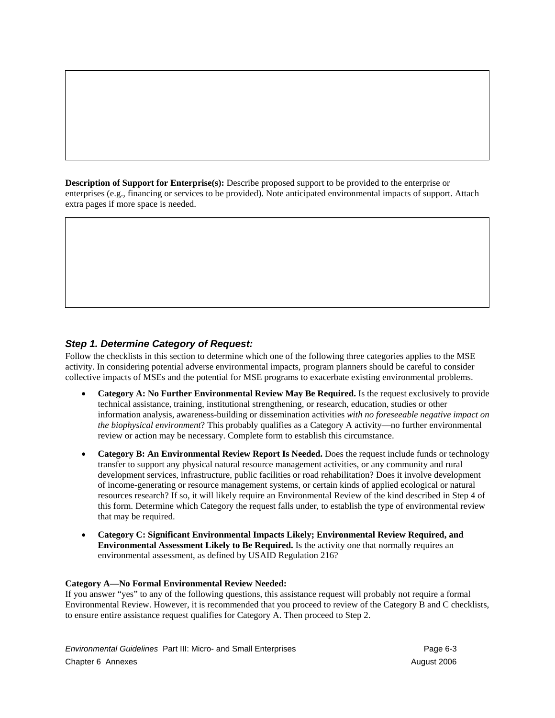**Description of Support for Enterprise(s):** Describe proposed support to be provided to the enterprise or enterprises (e.g., financing or services to be provided). Note anticipated environmental impacts of support. Attach extra pages if more space is needed.

## *Step 1. Determine Category of Request:*

Follow the checklists in this section to determine which one of the following three categories applies to the MSE activity. In considering potential adverse environmental impacts, program planners should be careful to consider collective impacts of MSEs and the potential for MSE programs to exacerbate existing environmental problems.

- **Category A: No Further Environmental Review May Be Required.** Is the request exclusively to provide technical assistance, training, institutional strengthening, or research, education, studies or other information analysis, awareness-building or dissemination activities *with no foreseeable negative impact on the biophysical environment*? This probably qualifies as a Category A activity—no further environmental review or action may be necessary. Complete form to establish this circumstance.
- **Category B: An Environmental Review Report Is Needed.** Does the request include funds or technology transfer to support any physical natural resource management activities, or any community and rural development services, infrastructure, public facilities or road rehabilitation? Does it involve development of income-generating or resource management systems, or certain kinds of applied ecological or natural resources research? If so, it will likely require an Environmental Review of the kind described in Step 4 of this form. Determine which Category the request falls under, to establish the type of environmental review that may be required.
- **Category C: Significant Environmental Impacts Likely; Environmental Review Required, and Environmental Assessment Likely to Be Required.** Is the activity one that normally requires an environmental assessment, as defined by USAID Regulation 216?

#### **Category A—No Formal Environmental Review Needed:**

If you answer "yes" to any of the following questions, this assistance request will probably not require a formal Environmental Review. However, it is recommended that you proceed to review of the Category B and C checklists, to ensure entire assistance request qualifies for Category A. Then proceed to Step 2.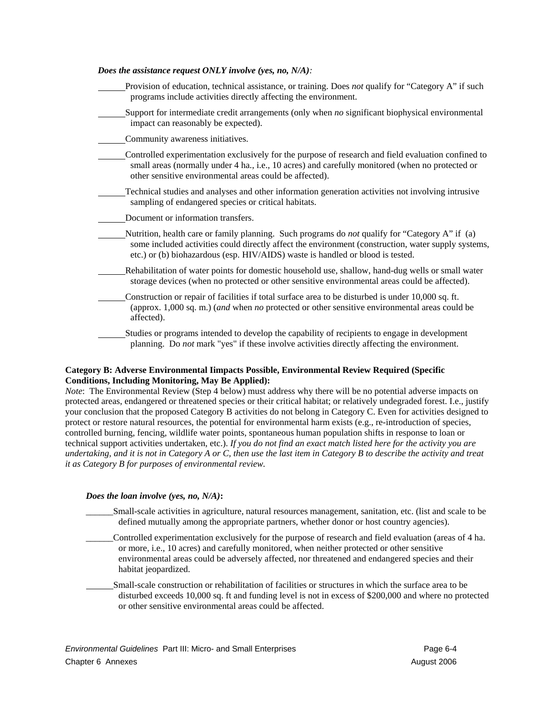| Does the assistance request ONLY involve (yes, no, $N/A$ ):                                                                                                                                                                                                                                     |
|-------------------------------------------------------------------------------------------------------------------------------------------------------------------------------------------------------------------------------------------------------------------------------------------------|
| Provision of education, technical assistance, or training. Does not qualify for "Category A" if such<br>programs include activities directly affecting the environment.                                                                                                                         |
| Support for intermediate credit arrangements (only when no significant biophysical environmental<br>impact can reasonably be expected).                                                                                                                                                         |
| Community awareness initiatives.                                                                                                                                                                                                                                                                |
| Controlled experimentation exclusively for the purpose of research and field evaluation confined to<br>small areas (normally under 4 ha., i.e., 10 acres) and carefully monitored (when no protected or<br>other sensitive environmental areas could be affected).                              |
| Technical studies and analyses and other information generation activities not involving intrusive<br>sampling of endangered species or critical habitats.                                                                                                                                      |
| Document or information transfers.                                                                                                                                                                                                                                                              |
| Nutrition, health care or family planning. Such programs do <i>not</i> qualify for "Category A" if (a)<br>some included activities could directly affect the environment (construction, water supply systems,<br>etc.) or (b) biohazardous (esp. HIV/AIDS) waste is handled or blood is tested. |
| Rehabilitation of water points for domestic household use, shallow, hand-dug wells or small water<br>storage devices (when no protected or other sensitive environmental areas could be affected).                                                                                              |
| Construction or repair of facilities if total surface area to be disturbed is under 10,000 sq. ft.<br>(approx. 1,000 sq. m.) (and when no protected or other sensitive environmental areas could be<br>affected).                                                                               |
| Studies or programs intended to develop the capability of recipients to engage in development<br>planning. Do not mark "yes" if these involve activities directly affecting the environment.                                                                                                    |

#### **Category B: Adverse Environmental Iimpacts Possible, Environmental Review Required (Specific Conditions, Including Monitoring, May Be Applied):**

*Note*: The Environmental Review (Step 4 below) must address why there will be no potential adverse impacts on protected areas, endangered or threatened species or their critical habitat; or relatively undegraded forest. I.e., justify your conclusion that the proposed Category B activities do not belong in Category C. Even for activities designed to protect or restore natural resources, the potential for environmental harm exists (e.g., re-introduction of species, controlled burning, fencing, wildlife water points, spontaneous human population shifts in response to loan or technical support activities undertaken, etc.). *If you do not find an exact match listed here for the activity you are undertaking, and it is not in Category A or C, then use the last item in Category B to describe the activity and treat it as Category B for purposes of environmental review.*

#### *Does the loan involve (yes, no, N/A)***:**

- \_\_\_\_\_\_Small-scale activities in agriculture, natural resources management, sanitation, etc. (list and scale to be defined mutually among the appropriate partners, whether donor or host country agencies).
- \_\_\_\_\_\_Controlled experimentation exclusively for the purpose of research and field evaluation (areas of 4 ha. or more*,* i.e., 10 acres) and carefully monitored, when neither protected or other sensitive environmental areas could be adversely affected, nor threatened and endangered species and their habitat jeopardized.
- Small-scale construction or rehabilitation of facilities or structures in which the surface area to be disturbed exceeds 10,000 sq. ft and funding level is not in excess of \$200,000 and where no protected or other sensitive environmental areas could be affected.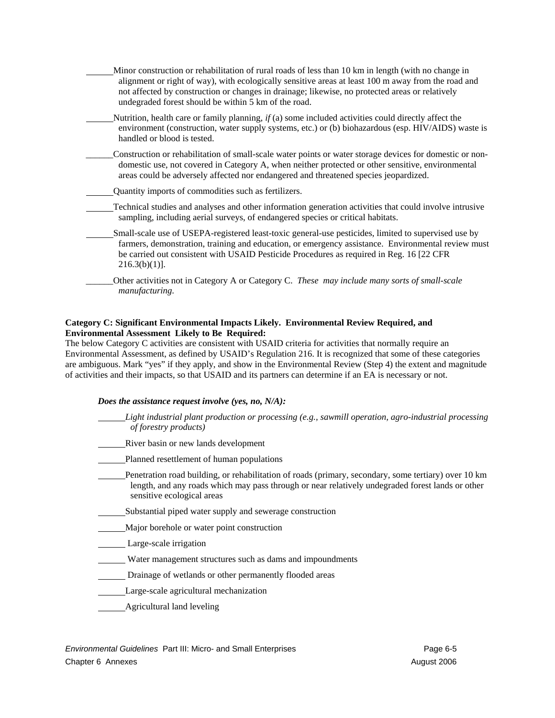| Minor construction or rehabilitation of rural roads of less than 10 km in length (with no change in<br>alignment or right of way), with ecologically sensitive areas at least 100 m away from the road and<br>not affected by construction or changes in drainage; likewise, no protected areas or relatively<br>undegraded forest should be within 5 km of the road. |
|-----------------------------------------------------------------------------------------------------------------------------------------------------------------------------------------------------------------------------------------------------------------------------------------------------------------------------------------------------------------------|
| Nutrition, health care or family planning, if (a) some included activities could directly affect the<br>environment (construction, water supply systems, etc.) or (b) biohazardous (esp. HIV/AIDS) waste is<br>handled or blood is tested.                                                                                                                            |
| Construction or rehabilitation of small-scale water points or water storage devices for domestic or non-<br>domestic use, not covered in Category A, when neither protected or other sensitive, environmental<br>areas could be adversely affected nor endangered and threatened species jeopardized.                                                                 |
| Quantity imports of commodities such as fertilizers.                                                                                                                                                                                                                                                                                                                  |
| Technical studies and analyses and other information generation activities that could involve intrusive<br>sampling, including aerial surveys, of endangered species or critical habitats.                                                                                                                                                                            |
| Small-scale use of USEPA-registered least-toxic general-use pesticides, limited to supervised use by<br>farmers, demonstration, training and education, or emergency assistance. Environmental review must<br>be carried out consistent with USAID Pesticide Procedures as required in Reg. 16 [22 CFR<br>$216.3(b)(1)$ .                                             |
| Other activities not in Category A or Category C. These may include many sorts of small-scale<br>manufacturing.                                                                                                                                                                                                                                                       |

#### **Category C: Significant Environmental Impacts Likely. Environmental Review Required, and Environmental Assessment Likely to Be Required:**

The below Category C activities are consistent with USAID criteria for activities that normally require an Environmental Assessment, as defined by USAID's Regulation 216. It is recognized that some of these categories are ambiguous. Mark "yes" if they apply, and show in the Environmental Review (Step 4) the extent and magnitude of activities and their impacts, so that USAID and its partners can determine if an EA is necessary or not.

#### *Does the assistance request involve (yes, no, N/A):*

| Light industrial plant production or processing (e.g., sawmill operation, agro-industrial processing<br><i>of forestry products</i> )                                                                                                  |
|----------------------------------------------------------------------------------------------------------------------------------------------------------------------------------------------------------------------------------------|
| River basin or new lands development                                                                                                                                                                                                   |
| Planned resettlement of human populations                                                                                                                                                                                              |
| Penetration road building, or rehabilitation of roads (primary, secondary, some tertiary) over 10 km<br>length, and any roads which may pass through or near relatively undegraded forest lands or other<br>sensitive ecological areas |
| Substantial piped water supply and sewerage construction                                                                                                                                                                               |
| Major borehole or water point construction                                                                                                                                                                                             |
| Large-scale irrigation                                                                                                                                                                                                                 |
| Water management structures such as dams and impoundments                                                                                                                                                                              |
| Drainage of wetlands or other permanently flooded areas                                                                                                                                                                                |
| Large-scale agricultural mechanization                                                                                                                                                                                                 |
| Agricultural land leveling                                                                                                                                                                                                             |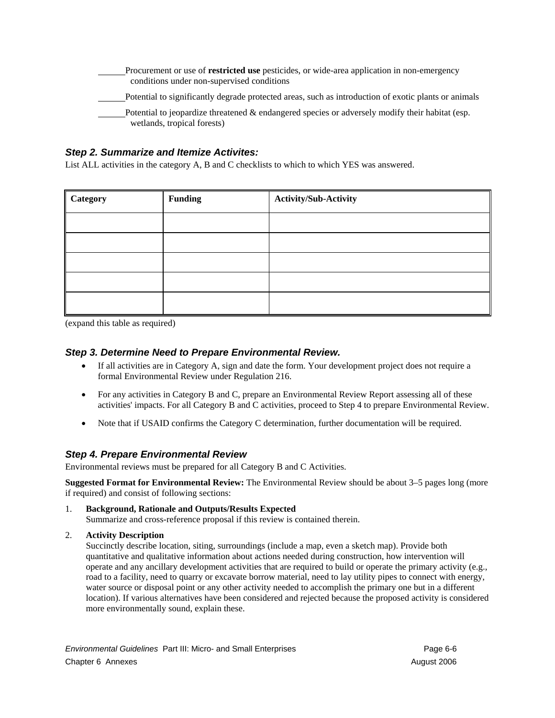| Procurement or use of <b>restricted use</b> pesticides, or wide-area application in non-emergency<br>conditions under non-supervised conditions |
|-------------------------------------------------------------------------------------------------------------------------------------------------|
| Potential to significantly degrade protected areas, such as introduction of exotic plants or animals                                            |
| Potential to jeopardize threatened & endangered species or adversely modify their habitat (esp.<br>wetlands, tropical forests)                  |

### *Step 2. Summarize and Itemize Activites:*

List ALL activities in the category A, B and C checklists to which to which YES was answered.

| Category | <b>Funding</b> | <b>Activity/Sub-Activity</b> |
|----------|----------------|------------------------------|
|          |                |                              |
|          |                |                              |
|          |                |                              |
|          |                |                              |
|          |                |                              |

(expand this table as required)

### *Step 3. Determine Need to Prepare Environmental Review.*

- If all activities are in Category A, sign and date the form. Your development project does not require a formal Environmental Review under Regulation 216.
- For any activities in Category B and C, prepare an Environmental Review Report assessing all of these activities' impacts. For all Category B and C activities, proceed to Step 4 to prepare Environmental Review.
- Note that if USAID confirms the Category C determination, further documentation will be required.

### *Step 4. Prepare Environmental Review*

Environmental reviews must be prepared for all Category B and C Activities.

**Suggested Format for Environmental Review:** The Environmental Review should be about 3–5 pages long (more if required) and consist of following sections:

1. **Background, Rationale and Outputs/Results Expected** Summarize and cross-reference proposal if this review is contained therein.

#### 2. **Activity Description**

Succinctly describe location, siting, surroundings (include a map, even a sketch map). Provide both quantitative and qualitative information about actions needed during construction, how intervention will operate and any ancillary development activities that are required to build or operate the primary activity (e.g., road to a facility, need to quarry or excavate borrow material, need to lay utility pipes to connect with energy, water source or disposal point or any other activity needed to accomplish the primary one but in a different location). If various alternatives have been considered and rejected because the proposed activity is considered more environmentally sound, explain these.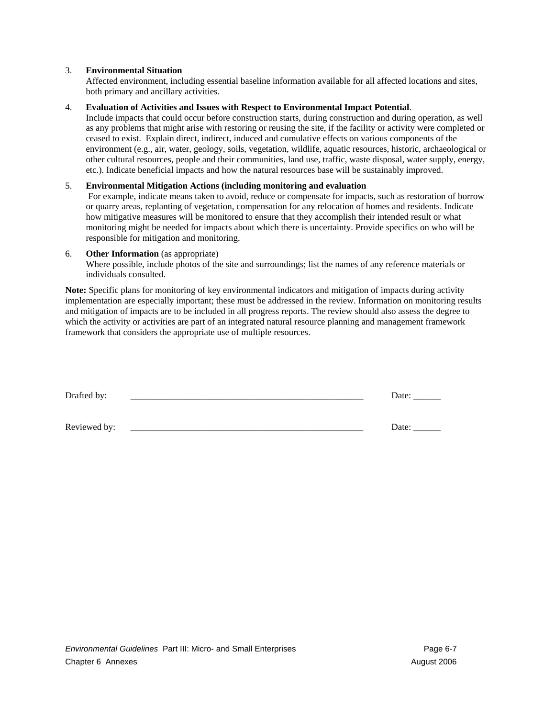#### 3. **Environmental Situation**

Affected environment, including essential baseline information available for all affected locations and sites, both primary and ancillary activities.

#### 4. **Evaluation of Activities and Issues with Respect to Environmental Impact Potential**.

Include impacts that could occur before construction starts, during construction and during operation, as well as any problems that might arise with restoring or reusing the site, if the facility or activity were completed or ceased to exist. Explain direct, indirect, induced and cumulative effects on various components of the environment (e.g., air, water, geology, soils, vegetation, wildlife, aquatic resources, historic, archaeological or other cultural resources, people and their communities, land use, traffic, waste disposal, water supply, energy, etc.). Indicate beneficial impacts and how the natural resources base will be sustainably improved.

#### 5. **Environmental Mitigation Actions (including monitoring and evaluation**

 For example, indicate means taken to avoid, reduce or compensate for impacts, such as restoration of borrow or quarry areas, replanting of vegetation, compensation for any relocation of homes and residents. Indicate how mitigative measures will be monitored to ensure that they accomplish their intended result or what monitoring might be needed for impacts about which there is uncertainty. Provide specifics on who will be responsible for mitigation and monitoring.

#### 6. **Other Information** (as appropriate)

Where possible, include photos of the site and surroundings; list the names of any reference materials or individuals consulted.

**Note:** Specific plans for monitoring of key environmental indicators and mitigation of impacts during activity implementation are especially important; these must be addressed in the review. Information on monitoring results and mitigation of impacts are to be included in all progress reports. The review should also assess the degree to which the activity or activities are part of an integrated natural resource planning and management framework framework that considers the appropriate use of multiple resources.

| Drafted by:  | Date: |
|--------------|-------|
|              |       |
| Reviewed by: | Date: |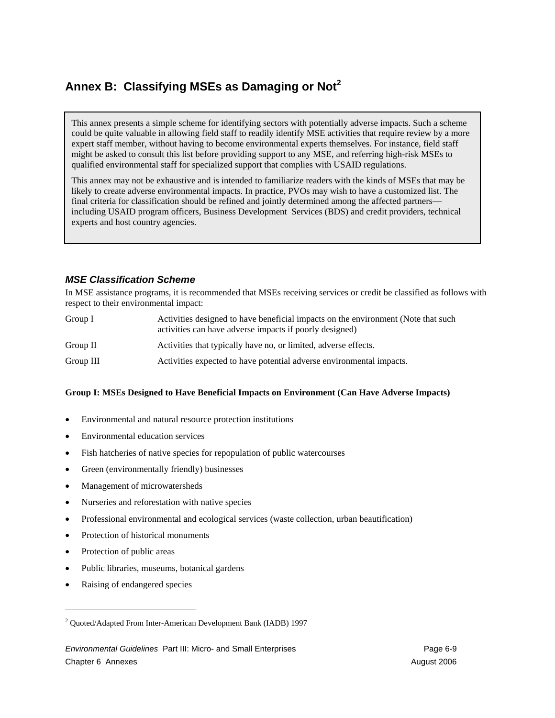## **Annex B: Classifying MSEs as Damaging or Not<sup>2</sup>**

This annex presents a simple scheme for identifying sectors with potentially adverse impacts. Such a scheme could be quite valuable in allowing field staff to readily identify MSE activities that require review by a more expert staff member, without having to become environmental experts themselves. For instance, field staff might be asked to consult this list before providing support to any MSE, and referring high-risk MSEs to qualified environmental staff for specialized support that complies with USAID regulations.

This annex may not be exhaustive and is intended to familiarize readers with the kinds of MSEs that may be likely to create adverse environmental impacts. In practice, PVOs may wish to have a customized list. The final criteria for classification should be refined and jointly determined among the affected partners including USAID program officers, Business Development Services (BDS) and credit providers, technical experts and host country agencies.

## *MSE Classification Scheme*

In MSE assistance programs, it is recommended that MSEs receiving services or credit be classified as follows with respect to their environmental impact:

| Group I   | Activities designed to have beneficial impacts on the environment (Note that such<br>activities can have adverse impacts if poorly designed) |
|-----------|----------------------------------------------------------------------------------------------------------------------------------------------|
| Group II  | Activities that typically have no, or limited, adverse effects.                                                                              |
| Group III | Activities expected to have potential adverse environmental impacts.                                                                         |

#### **Group I: MSEs Designed to Have Beneficial Impacts on Environment (Can Have Adverse Impacts)**

- Environmental and natural resource protection institutions
- Environmental education services
- Fish hatcheries of native species for repopulation of public watercourses
- Green (environmentally friendly) businesses
- Management of microwatersheds
- Nurseries and reforestation with native species
- Professional environmental and ecological services (waste collection, urban beautification)
- Protection of historical monuments
- Protection of public areas

 $\overline{\phantom{a}}$ 

- Public libraries, museums, botanical gardens
- Raising of endangered species

<sup>&</sup>lt;sup>2</sup> Quoted/Adapted From Inter-American Development Bank (IADB) 1997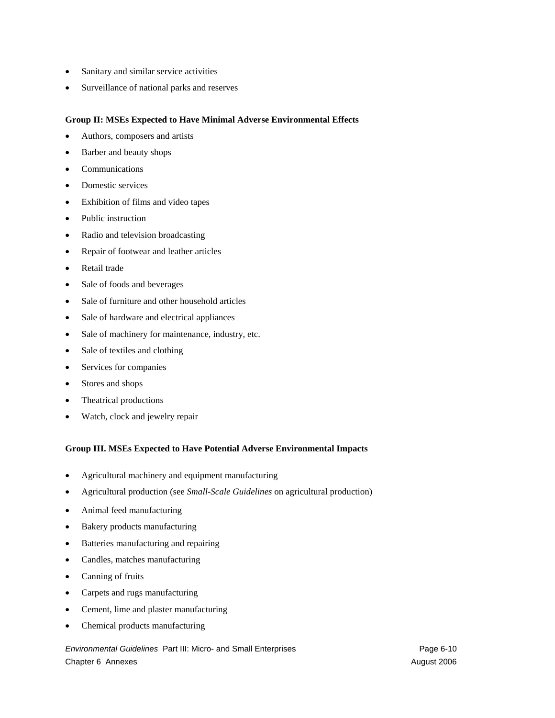- Sanitary and similar service activities
- Surveillance of national parks and reserves

#### **Group II: MSEs Expected to Have Minimal Adverse Environmental Effects**

- Authors, composers and artists
- Barber and beauty shops
- **Communications**
- Domestic services
- Exhibition of films and video tapes
- Public instruction
- Radio and television broadcasting
- Repair of footwear and leather articles
- Retail trade
- Sale of foods and beverages
- Sale of furniture and other household articles
- Sale of hardware and electrical appliances
- Sale of machinery for maintenance, industry, etc.
- Sale of textiles and clothing
- Services for companies
- Stores and shops
- Theatrical productions
- Watch, clock and jewelry repair

#### **Group III. MSEs Expected to Have Potential Adverse Environmental Impacts**

- Agricultural machinery and equipment manufacturing
- Agricultural production (see *Small-Scale Guidelines* on agricultural production)
- Animal feed manufacturing
- Bakery products manufacturing
- Batteries manufacturing and repairing
- Candles, matches manufacturing
- Canning of fruits
- Carpets and rugs manufacturing
- Cement, lime and plaster manufacturing
- Chemical products manufacturing

*Environmental Guidelines Part III: Micro- and Small Enterprises* enterprises Page 6-10 Chapter 6 Annexes August 2006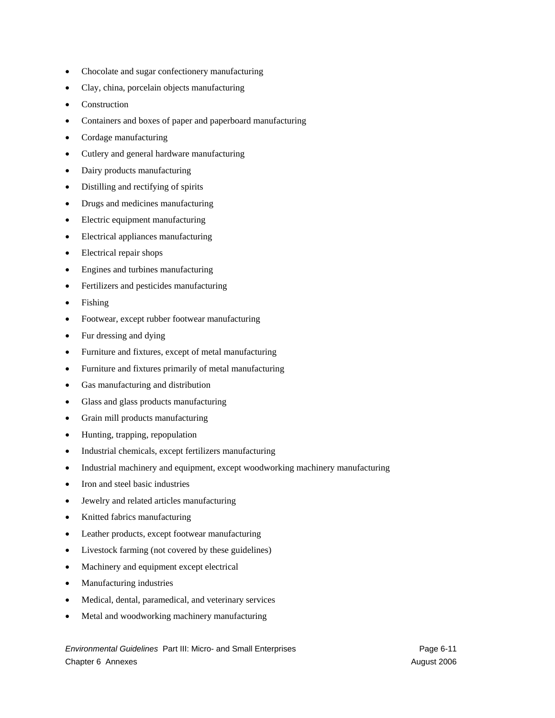- Chocolate and sugar confectionery manufacturing
- Clay, china, porcelain objects manufacturing
- **Construction**
- Containers and boxes of paper and paperboard manufacturing
- Cordage manufacturing
- Cutlery and general hardware manufacturing
- Dairy products manufacturing
- Distilling and rectifying of spirits
- Drugs and medicines manufacturing
- Electric equipment manufacturing
- Electrical appliances manufacturing
- Electrical repair shops
- Engines and turbines manufacturing
- Fertilizers and pesticides manufacturing
- Fishing
- Footwear, except rubber footwear manufacturing
- Fur dressing and dying
- Furniture and fixtures, except of metal manufacturing
- Furniture and fixtures primarily of metal manufacturing
- Gas manufacturing and distribution
- Glass and glass products manufacturing
- Grain mill products manufacturing
- Hunting, trapping, repopulation
- Industrial chemicals, except fertilizers manufacturing
- Industrial machinery and equipment, except woodworking machinery manufacturing
- Iron and steel basic industries
- Jewelry and related articles manufacturing
- Knitted fabrics manufacturing
- Leather products, except footwear manufacturing
- Livestock farming (not covered by these guidelines)
- Machinery and equipment except electrical
- Manufacturing industries
- Medical, dental, paramedical, and veterinary services
- Metal and woodworking machinery manufacturing

*Environmental Guidelines Part III: Micro- and Small Enterprises* enterprises Page 6-11 Chapter 6 Annexes August 2006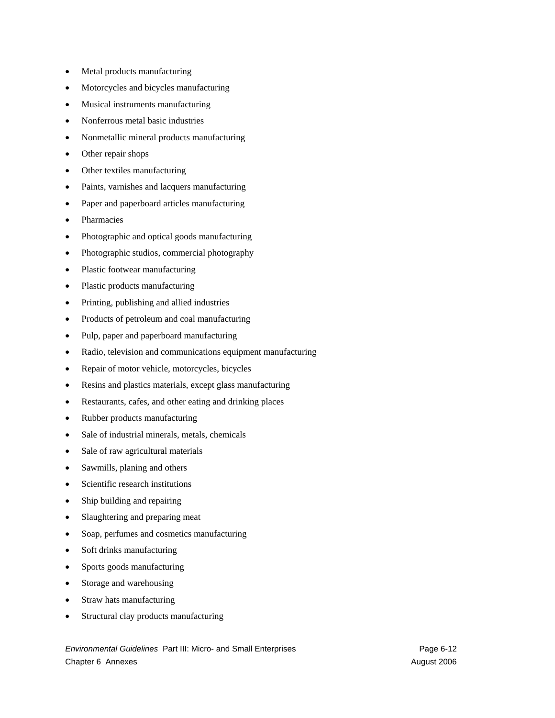- Metal products manufacturing
- Motorcycles and bicycles manufacturing
- Musical instruments manufacturing
- Nonferrous metal basic industries
- Nonmetallic mineral products manufacturing
- Other repair shops
- Other textiles manufacturing
- Paints, varnishes and lacquers manufacturing
- Paper and paperboard articles manufacturing
- **Pharmacies**
- Photographic and optical goods manufacturing
- Photographic studios, commercial photography
- Plastic footwear manufacturing
- Plastic products manufacturing
- Printing, publishing and allied industries
- Products of petroleum and coal manufacturing
- Pulp, paper and paperboard manufacturing
- Radio, television and communications equipment manufacturing
- Repair of motor vehicle, motorcycles, bicycles
- Resins and plastics materials, except glass manufacturing
- Restaurants, cafes, and other eating and drinking places
- Rubber products manufacturing
- Sale of industrial minerals, metals, chemicals
- Sale of raw agricultural materials
- Sawmills, planing and others
- Scientific research institutions
- Ship building and repairing
- Slaughtering and preparing meat
- Soap, perfumes and cosmetics manufacturing
- Soft drinks manufacturing
- Sports goods manufacturing
- Storage and warehousing
- Straw hats manufacturing
- Structural clay products manufacturing

*Environmental Guidelines Part III: Micro- and Small Enterprises* enterprises Page 6-12 Chapter 6 Annexes August 2006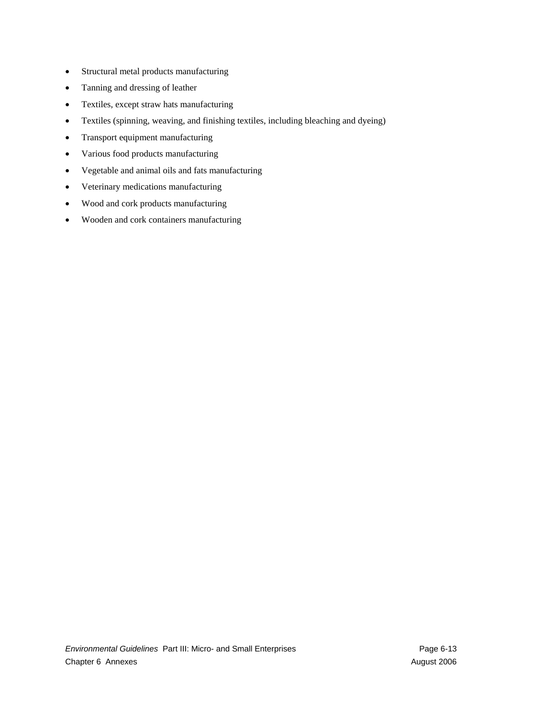- Structural metal products manufacturing
- Tanning and dressing of leather
- Textiles, except straw hats manufacturing
- Textiles (spinning, weaving, and finishing textiles, including bleaching and dyeing)
- Transport equipment manufacturing
- Various food products manufacturing
- Vegetable and animal oils and fats manufacturing
- Veterinary medications manufacturing
- Wood and cork products manufacturing
- Wooden and cork containers manufacturing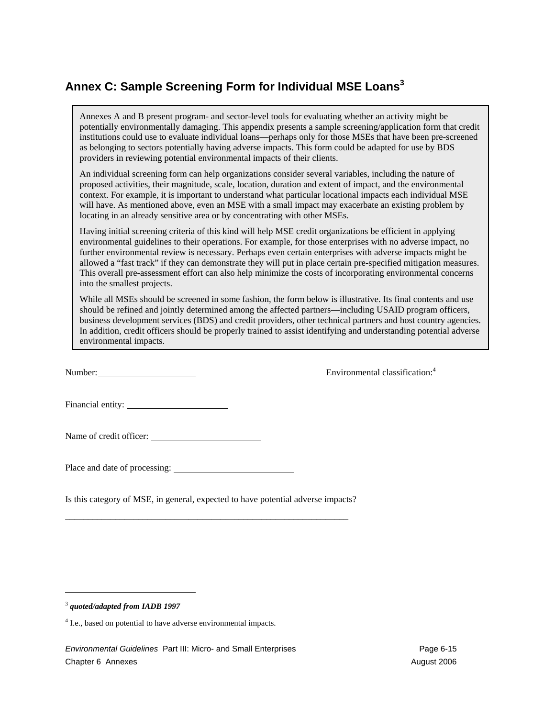## **Annex C: Sample Screening Form for Individual MSE Loans<sup>3</sup>**

Annexes A and B present program- and sector-level tools for evaluating whether an activity might be potentially environmentally damaging. This appendix presents a sample screening/application form that credit institutions could use to evaluate individual loans—perhaps only for those MSEs that have been pre-screened as belonging to sectors potentially having adverse impacts. This form could be adapted for use by BDS providers in reviewing potential environmental impacts of their clients.

An individual screening form can help organizations consider several variables, including the nature of proposed activities, their magnitude, scale, location, duration and extent of impact, and the environmental context. For example, it is important to understand what particular locational impacts each individual MSE will have. As mentioned above, even an MSE with a small impact may exacerbate an existing problem by locating in an already sensitive area or by concentrating with other MSEs.

Having initial screening criteria of this kind will help MSE credit organizations be efficient in applying environmental guidelines to their operations. For example, for those enterprises with no adverse impact, no further environmental review is necessary. Perhaps even certain enterprises with adverse impacts might be allowed a "fast track" if they can demonstrate they will put in place certain pre-specified mitigation measures. This overall pre-assessment effort can also help minimize the costs of incorporating environmental concerns into the smallest projects.

While all MSEs should be screened in some fashion, the form below is illustrative. Its final contents and use should be refined and jointly determined among the affected partners—including USAID program officers, business development services (BDS) and credit providers, other technical partners and host country agencies. In addition, credit officers should be properly trained to assist identifying and understanding potential adverse environmental impacts.

Number: Environmental classification:<sup>4</sup>

Financial entity:

Name of credit officer:

Place and date of processing:

Is this category of MSE, in general, expected to have potential adverse impacts?

\_\_\_\_\_\_\_\_\_\_\_\_\_\_\_\_\_\_\_\_\_\_\_\_\_\_\_\_\_\_\_\_\_\_\_\_\_\_\_\_\_\_\_\_\_\_\_\_\_\_\_\_\_\_\_\_\_\_\_\_\_\_

-

<sup>3</sup> *quoted/adapted from IADB 1997*

<sup>&</sup>lt;sup>4</sup> I.e., based on potential to have adverse environmental impacts.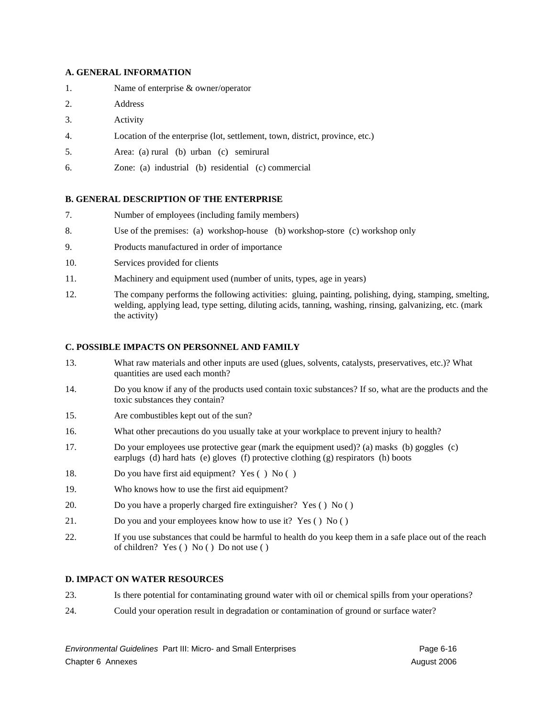#### **A. GENERAL INFORMATION**

- 1. Name of enterprise & owner/operator
- 2. Address
- 3. Activity
- 4. Location of the enterprise (lot, settlement, town, district, province, etc.)
- 5. Area: (a) rural (b) urban (c) semirural
- 6. Zone: (a) industrial (b) residential (c) commercial

#### **B. GENERAL DESCRIPTION OF THE ENTERPRISE**

- 7. Number of employees (including family members)
- 8. Use of the premises: (a) workshop-house (b) workshop-store (c) workshop only
- 9. Products manufactured in order of importance
- 10. Services provided for clients
- 11. Machinery and equipment used (number of units, types, age in years)
- 12. The company performs the following activities: gluing, painting, polishing, dying, stamping, smelting, welding, applying lead, type setting, diluting acids, tanning, washing, rinsing, galvanizing, etc. (mark the activity)

#### **C. POSSIBLE IMPACTS ON PERSONNEL AND FAMILY**

- 13. What raw materials and other inputs are used (glues, solvents, catalysts, preservatives, etc.)? What quantities are used each month?
- 14. Do you know if any of the products used contain toxic substances? If so, what are the products and the toxic substances they contain?
- 15. Are combustibles kept out of the sun?
- 16. What other precautions do you usually take at your workplace to prevent injury to health?
- 17. Do your employees use protective gear (mark the equipment used)? (a) masks (b) goggles (c) earplugs (d) hard hats (e) gloves (f) protective clothing (g) respirators (h) boots
- 18. Do you have first aid equipment? Yes ( ) No ( )
- 19. Who knows how to use the first aid equipment?
- 20. Do you have a properly charged fire extinguisher? Yes ( ) No ( )
- 21. Do you and your employees know how to use it? Yes ( ) No ( )
- 22. If you use substances that could be harmful to health do you keep them in a safe place out of the reach of children? Yes ( ) No ( ) Do not use ( )

#### **D. IMPACT ON WATER RESOURCES**

- 23. Is there potential for contaminating ground water with oil or chemical spills from your operations?
- 24. Could your operation result in degradation or contamination of ground or surface water?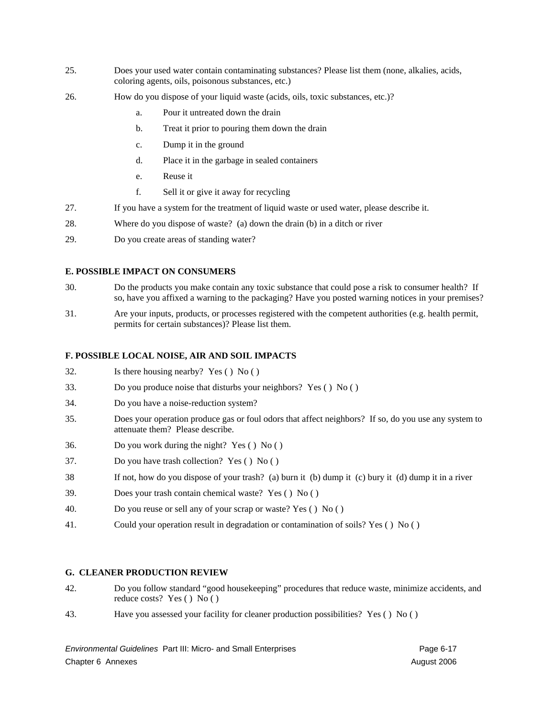- 25. Does your used water contain contaminating substances? Please list them (none, alkalies, acids, coloring agents, oils, poisonous substances, etc.)
- 26. How do you dispose of your liquid waste (acids, oils, toxic substances, etc.)?
	- a. Pour it untreated down the drain
	- b. Treat it prior to pouring them down the drain
	- c. Dump it in the ground
	- d. Place it in the garbage in sealed containers
	- e. Reuse it
	- f. Sell it or give it away for recycling
- 27. If you have a system for the treatment of liquid waste or used water, please describe it.
- 28. Where do you dispose of waste? (a) down the drain (b) in a ditch or river
- 29. Do you create areas of standing water?

#### **E. POSSIBLE IMPACT ON CONSUMERS**

- 30. Do the products you make contain any toxic substance that could pose a risk to consumer health? If so, have you affixed a warning to the packaging? Have you posted warning notices in your premises?
- 31. Are your inputs, products, or processes registered with the competent authorities (e.g. health permit, permits for certain substances)? Please list them.

#### **F. POSSIBLE LOCAL NOISE, AIR AND SOIL IMPACTS**

- 32. Is there housing nearby? Yes () No ()
- 33. Do you produce noise that disturbs your neighbors? Yes ( ) No ( )
- 34. Do you have a noise-reduction system?
- 35. Does your operation produce gas or foul odors that affect neighbors? If so, do you use any system to attenuate them? Please describe.
- 36. Do you work during the night? Yes ( ) No ( )
- 37. Do you have trash collection? Yes ( ) No ( )
- 38 If not, how do you dispose of your trash? (a) burn it (b) dump it (c) bury it (d) dump it in a river
- 39. Does your trash contain chemical waste? Yes ( ) No ( )
- 40. Do you reuse or sell any of your scrap or waste? Yes ( ) No ( )
- 41. Could your operation result in degradation or contamination of soils? Yes ( ) No ( )

#### **G. CLEANER PRODUCTION REVIEW**

- 42. Do you follow standard "good housekeeping" procedures that reduce waste, minimize accidents, and reduce costs? Yes ( ) No ( )
- 43. Have you assessed your facility for cleaner production possibilities? Yes ( ) No ( )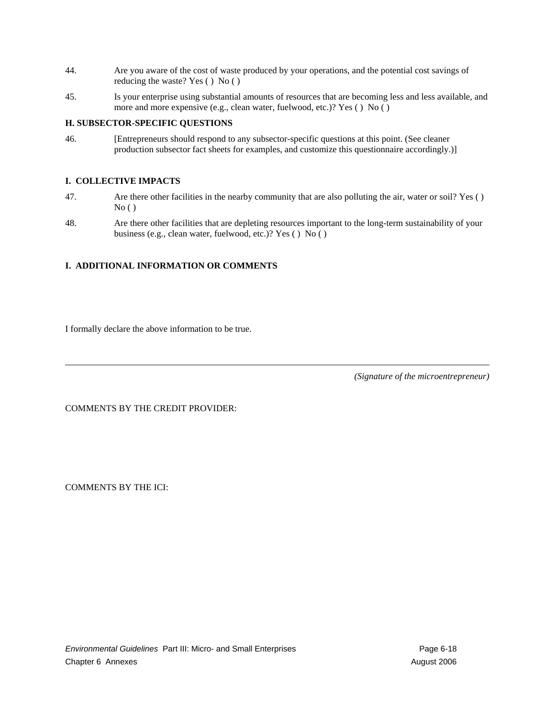- 44. Are you aware of the cost of waste produced by your operations, and the potential cost savings of reducing the waste? Yes ( ) No ( )
- 45. Is your enterprise using substantial amounts of resources that are becoming less and less available, and more and more expensive (e.g., clean water, fuelwood, etc.)? Yes ( ) No ( )

### **H. SUBSECTOR-SPECIFIC QUESTIONS**

46. [Entrepreneurs should respond to any subsector-specific questions at this point. (See cleaner production subsector fact sheets for examples, and customize this questionnaire accordingly.)]

#### **I. COLLECTIVE IMPACTS**

- 47. Are there other facilities in the nearby community that are also polluting the air, water or soil? Yes ( )  $No()$
- 48. Are there other facilities that are depleting resources important to the long-term sustainability of your business (e.g., clean water, fuelwood, etc.)? Yes ( ) No ( )

### **I. ADDITIONAL INFORMATION OR COMMENTS**

I formally declare the above information to be true.

*(Signature of the microentrepreneur)*

COMMENTS BY THE CREDIT PROVIDER:

COMMENTS BY THE ICI: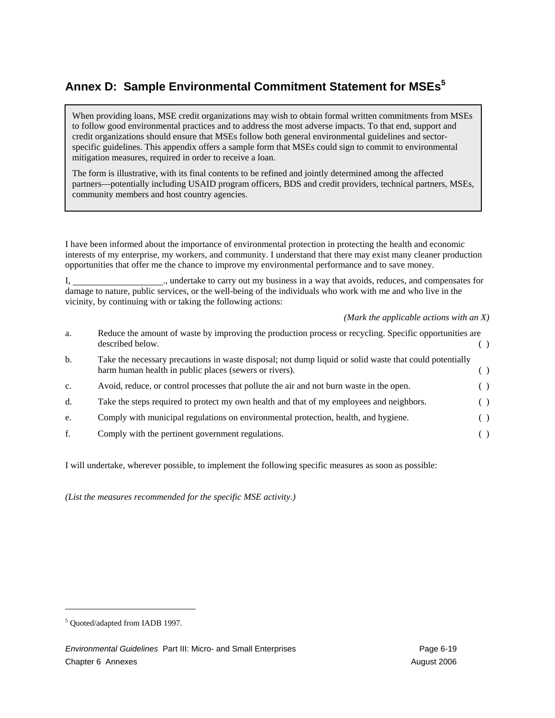## **Annex D: Sample Environmental Commitment Statement for MSEs<sup>5</sup>**

When providing loans, MSE credit organizations may wish to obtain formal written commitments from MSEs to follow good environmental practices and to address the most adverse impacts. To that end, support and credit organizations should ensure that MSEs follow both general environmental guidelines and sectorspecific guidelines. This appendix offers a sample form that MSEs could sign to commit to environmental mitigation measures, required in order to receive a loan.

The form is illustrative, with its final contents to be refined and jointly determined among the affected partners—potentially including USAID program officers, BDS and credit providers, technical partners, MSEs, community members and host country agencies.

I have been informed about the importance of environmental protection in protecting the health and economic interests of my enterprise, my workers, and community. I understand that there may exist many cleaner production opportunities that offer me the chance to improve my environmental performance and to save money.

I, undertake to carry out my business in a way that avoids, reduces, and compensates for damage to nature, public services, or the well-being of the individuals who work with me and who live in the vicinity, by continuing with or taking the following actions:

*(Mark the applicable actions with an X)*

| a.          | Reduce the amount of waste by improving the production process or recycling. Specific opportunities are<br>described below.                                       |     |  |
|-------------|-------------------------------------------------------------------------------------------------------------------------------------------------------------------|-----|--|
| b.          | Take the necessary precautions in waste disposal; not dump liquid or solid waste that could potentially<br>harm human health in public places (sewers or rivers). |     |  |
| $C_{\star}$ | Avoid, reduce, or control processes that pollute the air and not burn waste in the open.                                                                          |     |  |
| d.          | Take the steps required to protect my own health and that of my employees and neighbors.                                                                          | ( ) |  |
| e.          | Comply with municipal regulations on environmental protection, health, and hygiene.                                                                               |     |  |
| f.          | Comply with the pertinent government regulations.                                                                                                                 |     |  |

I will undertake, wherever possible, to implement the following specific measures as soon as possible:

*(List the measures recommended for the specific MSE activity.)* 

 $\overline{\phantom{a}}$ 

<sup>&</sup>lt;sup>5</sup> Quoted/adapted from IADB 1997.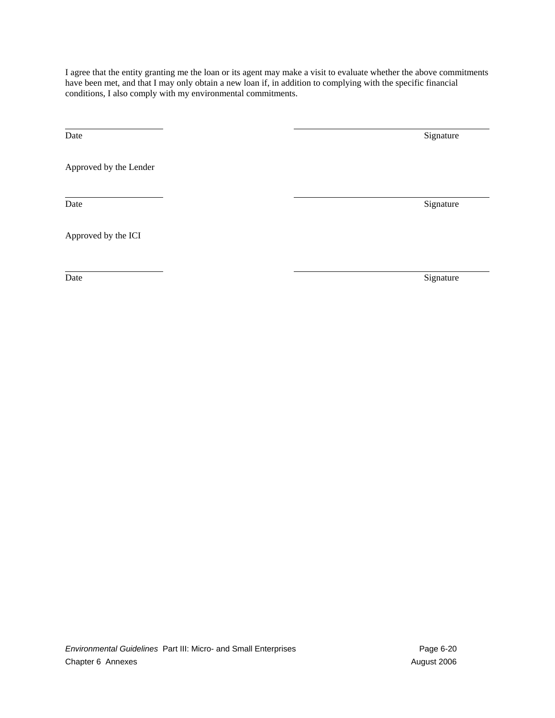I agree that the entity granting me the loan or its agent may make a visit to evaluate whether the above commitments have been met, and that I may only obtain a new loan if, in addition to complying with the specific financial conditions, I also comply with my environmental commitments.

l

Date Signature Signature Signature Signature Signature Signature Signature Signature Signature Signature Signature Signature Signature Signature Signature Signature Signature Signature Signature Signature Signature Signatu

Approved by the Lender

 $\overline{a}$ 

Date Signature Signature Signature Signature Signature Signature Signature Signature Signature Signature Signature Signature Signature Signature Signature Signature Signature Signature Signature Signature Signature Signatu

Approved by the ICI

 $\overline{a}$ 

Date Signature Signature Signature Signature Signature Signature Signature Signature Signature Signature Signature Signature Signature Signature Signature Signature Signature Signature Signature Signature Signature Signatu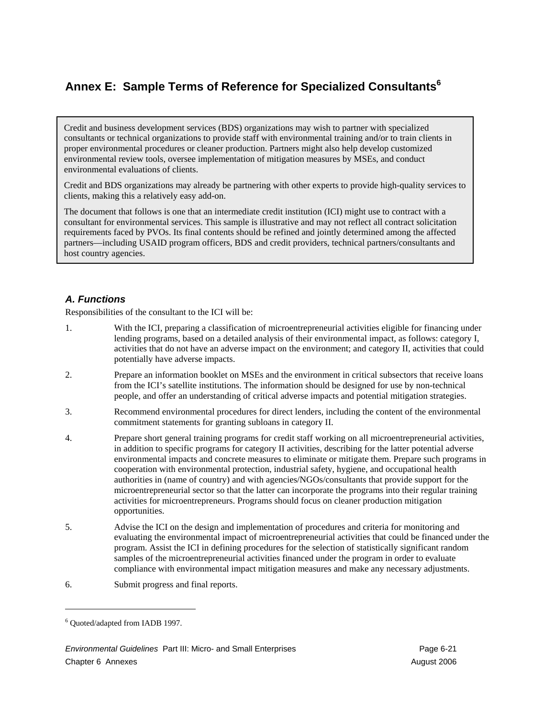## **Annex E: Sample Terms of Reference for Specialized Consultants<sup>6</sup>**

Credit and business development services (BDS) organizations may wish to partner with specialized consultants or technical organizations to provide staff with environmental training and/or to train clients in proper environmental procedures or cleaner production. Partners might also help develop customized environmental review tools, oversee implementation of mitigation measures by MSEs, and conduct environmental evaluations of clients.

Credit and BDS organizations may already be partnering with other experts to provide high-quality services to clients, making this a relatively easy add-on.

The document that follows is one that an intermediate credit institution (ICI) might use to contract with a consultant for environmental services. This sample is illustrative and may not reflect all contract solicitation requirements faced by PVOs. Its final contents should be refined and jointly determined among the affected partners—including USAID program officers, BDS and credit providers, technical partners/consultants and host country agencies.

## *A. Functions*

Responsibilities of the consultant to the ICI will be:

- 1. With the ICI, preparing a classification of microentrepreneurial activities eligible for financing under lending programs, based on a detailed analysis of their environmental impact, as follows: category I, activities that do not have an adverse impact on the environment; and category II, activities that could potentially have adverse impacts.
- 2. Prepare an information booklet on MSEs and the environment in critical subsectors that receive loans from the ICI's satellite institutions. The information should be designed for use by non-technical people, and offer an understanding of critical adverse impacts and potential mitigation strategies.
- 3. Recommend environmental procedures for direct lenders, including the content of the environmental commitment statements for granting subloans in category II.
- 4. Prepare short general training programs for credit staff working on all microentrepreneurial activities, in addition to specific programs for category II activities, describing for the latter potential adverse environmental impacts and concrete measures to eliminate or mitigate them. Prepare such programs in cooperation with environmental protection, industrial safety, hygiene, and occupational health authorities in (name of country) and with agencies/NGOs/consultants that provide support for the microentrepreneurial sector so that the latter can incorporate the programs into their regular training activities for microentrepreneurs. Programs should focus on cleaner production mitigation opportunities.
- 5. Advise the ICI on the design and implementation of procedures and criteria for monitoring and evaluating the environmental impact of microentrepreneurial activities that could be financed under the program. Assist the ICI in defining procedures for the selection of statistically significant random samples of the microentrepreneurial activities financed under the program in order to evaluate compliance with environmental impact mitigation measures and make any necessary adjustments.
- 6. Submit progress and final reports.

-

<sup>6</sup> Quoted/adapted from IADB 1997.